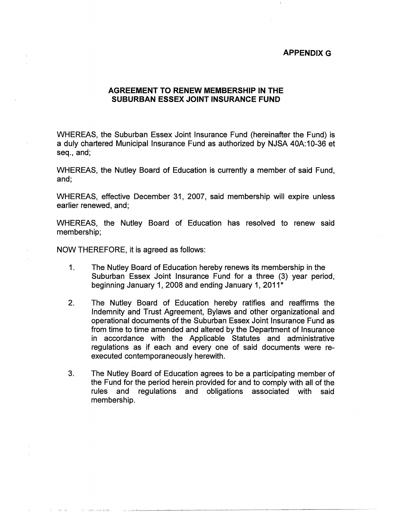## **APPENDIX G**

## **AGREEMENT TO RENEW MEMBERSHIP IN THE SUBURBAN ESSEX JOINT INSURANCE FUND**

WHEREAS, the Suburban Essex Joint Insurance Fund (hereinafter the Fund) is a duly chartered Municipal Insurance Fund as authorized by NJSA 40A:10-36 et seq., and;

WHEREAS, the Nutley Board of Education is currently a member of said Fund, and;

WHEREAS, effective December 31, 2007, said membership will expire unless earlier renewed, and;

WHEREAS, the Nutley Board of Education has resolved to renew said membership;

NOW THEREFORE, it is agreed as follows:

I II II L'III II L'ANNOULLE DE L'ANNOULLE DE L'ANNOULLE DE L'ANNOULLE DE L'ANNOULLE DE L'ANNOULLE DE L'ANNOULL

- 1. The Nutley Board of Education hereby renews its membership in the Suburban Essex Joint Insurance Fund for a three (3) year period, beginning January 1, 2008 and ending January 1, 2011\*
- 2. The Nutley Board of Education hereby ratifies and reaffirms the Indemnity and Trust Agreement, Bylaws and other organizational and operational documents of the Suburban Essex Joint Insurance Fund as from time to time amended and altered by the Department of Insurance in accordance with the Applicable Statutes and administrative regulations as if each and every one of said documents were reexecuted contemporaneously herewith.
- 3. The Nutley Board of Education agrees to be a participating member of the Fund for the period herein provided for and to comply with all of the rules and regulations and obligations associated with said membership.